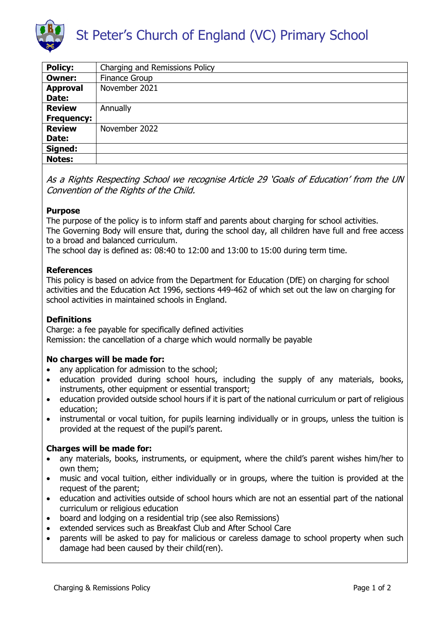

| <b>Policy:</b>    | Charging and Remissions Policy |
|-------------------|--------------------------------|
| <b>Owner:</b>     | <b>Finance Group</b>           |
| <b>Approval</b>   | November 2021                  |
| Date:             |                                |
| <b>Review</b>     | Annually                       |
| <b>Frequency:</b> |                                |
| <b>Review</b>     | November 2022                  |
| Date:             |                                |
| Signed:           |                                |
| <b>Notes:</b>     |                                |

As a Rights Respecting School we recognise Article 29 'Goals of Education' from the UN Convention of the Rights of the Child.

### **Purpose**

The purpose of the policy is to inform staff and parents about charging for school activities. The Governing Body will ensure that, during the school day, all children have full and free access to a broad and balanced curriculum.

The school day is defined as: 08:40 to 12:00 and 13:00 to 15:00 during term time.

# **References**

This policy is based on advice from the Department for Education (DfE) on charging for school activities and the Education Act 1996, sections 449-462 of which set out the law on charging for school activities in maintained schools in England.

# **Definitions**

Charge: a fee payable for specifically defined activities Remission: the cancellation of a charge which would normally be payable

### **No charges will be made for:**

- any application for admission to the school;
- education provided during school hours, including the supply of any materials, books, instruments, other equipment or essential transport;
- education provided outside school hours if it is part of the national curriculum or part of religious education;
- instrumental or vocal tuition, for pupils learning individually or in groups, unless the tuition is provided at the request of the pupil's parent.

### **Charges will be made for:**

- any materials, books, instruments, or equipment, where the child's parent wishes him/her to own them;
- music and vocal tuition, either individually or in groups, where the tuition is provided at the request of the parent;
- education and activities outside of school hours which are not an essential part of the national curriculum or religious education
- board and lodging on a residential trip (see also Remissions)
- extended services such as Breakfast Club and After School Care
- parents will be asked to pay for malicious or careless damage to school property when such damage had been caused by their child(ren).